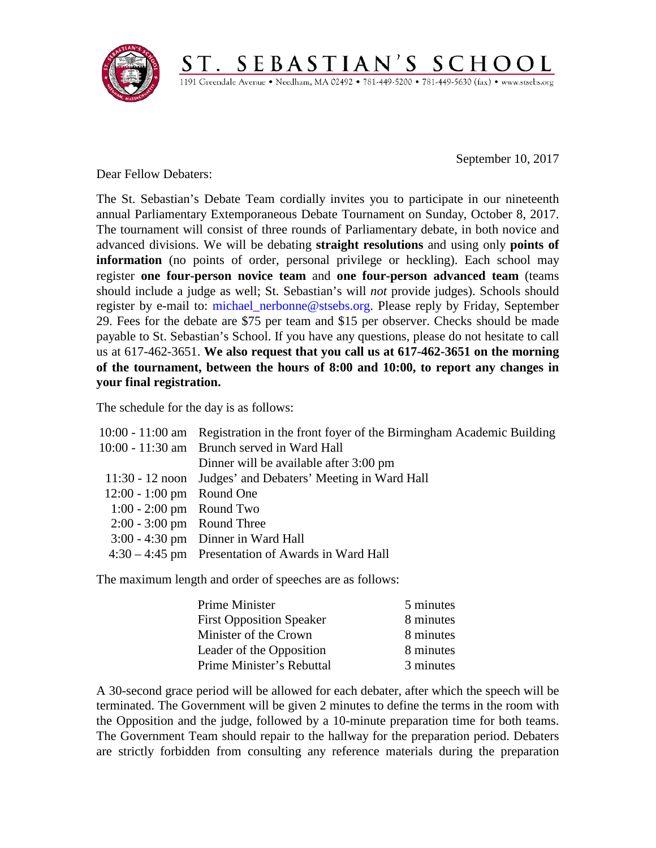

September 10, 2017

Dear Fellow Debaters:

The St. Sebastian's Debate Team cordially invites you to participate in our nineteenth annual Parliamentary Extemporaneous Debate Tournament on Sunday, October 8, 2017. The tournament will consist of three rounds of Parliamentary debate, in both novice and advanced divisions. We will be debating **straight resolutions** and using only **points of information** (no points of order, personal privilege or heckling). Each school may register **one four-person novice team** and **one four-person advanced team** (teams should include a judge as well; St. Sebastian's will *not* provide judges). Schools should register by e-mail to: [michael\\_nerbonne@stsebs.org.](mailto:michael_nerbonne@stsebs.org) Please reply by Friday, September 29. Fees for the debate are \$75 per team and \$15 per observer. Checks should be made payable to St. Sebastian's School. If you have any questions, please do not hesitate to call us at 617-462-3651. **We also request that you call us at 617-462-3651 on the morning of the tournament, between the hours of 8:00 and 10:00, to report any changes in your final registration.**

 $\underbrace{S\ T\ .\ \ S\ E\ B\ A\ S\ T\ I\ A\ N\ '\ S\ \ S\ C\ H\ O\ O\ L}_{\text{1191 Greendale Avenue}\cdot\ \text{Needham},\ \text{MA}\ 02492\bullet781\text{-}449\text{-}5200\bullet781\text{-}449\text{-}5630\ (\text{fax})\bullet\ \text{www-stsebs.org}}$ 

The schedule for the day is as follows:

|                              | 10:00 - 11:00 am Registration in the front foyer of the Birmingham Academic Building |
|------------------------------|--------------------------------------------------------------------------------------|
|                              | 10:00 - 11:30 am Brunch served in Ward Hall                                          |
|                              | Dinner will be available after 3:00 pm                                               |
|                              | 11:30 - 12 noon Judges' and Debaters' Meeting in Ward Hall                           |
| 12:00 - 1:00 pm Round One    |                                                                                      |
| $1:00 - 2:00$ pm Round Two   |                                                                                      |
| $2:00 - 3:00$ pm Round Three |                                                                                      |
|                              | $3:00 - 4:30$ pm Dinner in Ward Hall                                                 |
|                              | $4:30 - 4:45$ pm Presentation of Awards in Ward Hall                                 |

The maximum length and order of speeches are as follows:

| Prime Minister                  | 5 minutes |
|---------------------------------|-----------|
| <b>First Opposition Speaker</b> | 8 minutes |
| Minister of the Crown           | 8 minutes |
| Leader of the Opposition        | 8 minutes |
| Prime Minister's Rebuttal       | 3 minutes |

A 30-second grace period will be allowed for each debater, after which the speech will be terminated. The Government will be given 2 minutes to define the terms in the room with the Opposition and the judge, followed by a 10-minute preparation time for both teams. The Government Team should repair to the hallway for the preparation period. Debaters are strictly forbidden from consulting any reference materials during the preparation